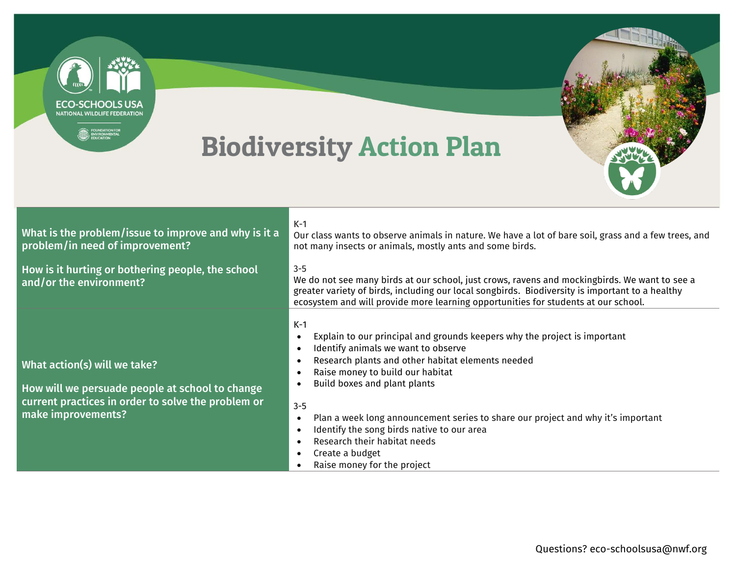

- Create a budget
- - Raise money for the project